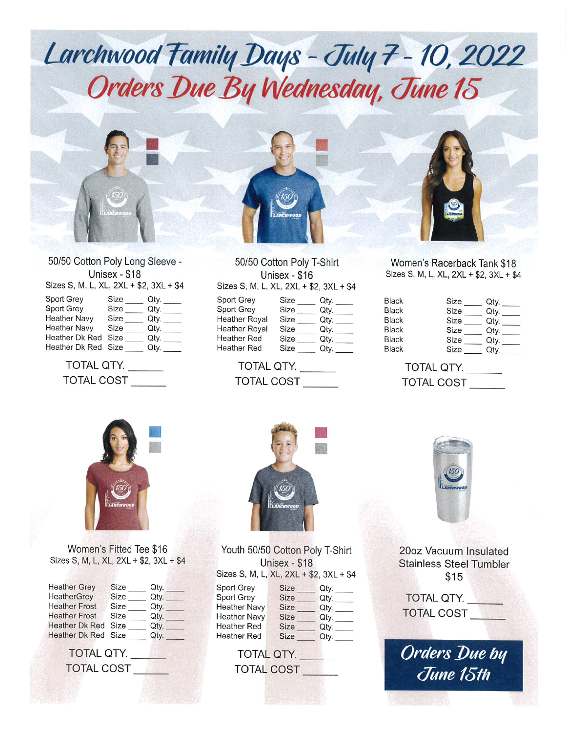

50/50 Cotton Poly Long Sleeve - Unisex - \$18 Sizes S, M, L, XL, 2XL + \$2, 3XL + \$4

| Sport Grey          | Size | Qty. |
|---------------------|------|------|
| Sport Grey          | Size | Qty. |
| <b>Heather Navy</b> | Size | Qty. |
| <b>Heather Navy</b> | Size | Qty. |
| Heather Dk Red      | Size | Qty. |
| Heather Dk Red Size |      | Qty. |
|                     |      |      |

TOTAL QTY. TOTAL COST

50/50 Cotton Poly T-Shirt Unisex - \$16 Sizes S, M, L, XL, 2XL + \$2, 3XL + \$4 Sport Grey Sport Grey Heather Royal Heather Royal Heather Red  $Size$ <sub>\_\_\_\_</sub> Size Qty. Size Qty. Size Qty.  $Size$  Qty. Qty.

Size Qty.

TOTAL QTY. TOTAL COST

Heather Red

Women's Racerback Tank \$18 Sizes S, M, L, XL, 2XL + \$2, 3XL + \$4

| <b>Black</b> | Size | Qty. |
|--------------|------|------|
| <b>Black</b> | Size | Qty. |
| <b>Black</b> | Size | Qty. |
| <b>Black</b> | Size | Qty. |
| <b>Black</b> | Size | Qtv. |
| <b>Black</b> | Size | Qty. |
|              |      |      |

TOTAL QTY. TOTAL COST



Women's Fitted Tee \$16 Sizes S, M, L, XL, 2XL + \$2, 3XL + \$4

| <b>Heather Grey</b>   | Size | Qtv. |
|-----------------------|------|------|
| HeatherGrey           | Size | Qty. |
| <b>Heather Frost</b>  | Size | Qty. |
| <b>Heather Frost</b>  | Size | Qty. |
| <b>Heather Dk Red</b> | Size | Qty. |
| Heather Dk Red Size   |      | Qtv. |
|                       |      |      |

TOTAL QTY.



Youth 50/50 Cotton Poly T-Shirt Unisex - \$18 Sizes S. M. L. XL. 2XL + \$2. 3XL + \$4 Sport Grey Size Qty. Sport Grey Size Qty. Heather Navy Size Qty. Heather Navy Size Qty. Size  $Qty.$ **Heather Red** Size  $Qty$ .

TOTAL QTY. TOTAL COST **TOTAL COST**